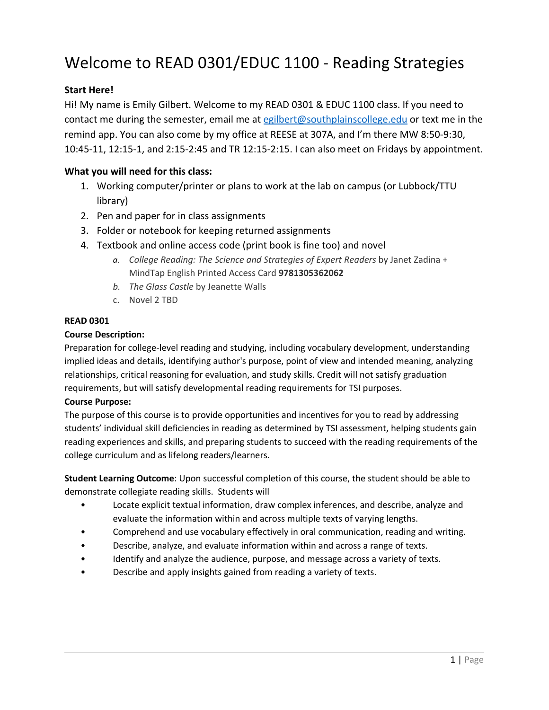# Welcome to READ 0301/EDUC 1100 - Reading Strategies

# **Start Here!**

Hi! My name is Emily Gilbert. Welcome to my READ 0301 & EDUC 1100 class. If you need to contact me during the semester, email me at [egilbert@southplainscollege.edu](mailto:egilbert@southplainscollege.edu) or text me in the remind app. You can also come by my office at REESE at 307A, and I'm there MW 8:50-9:30, 10:45-11, 12:15-1, and 2:15-2:45 and TR 12:15-2:15. I can also meet on Fridays by appointment.

# **What you will need for this class:**

- 1. Working computer/printer or plans to work at the lab on campus (or Lubbock/TTU library)
- 2. Pen and paper for in class assignments
- 3. Folder or notebook for keeping returned assignments
- 4. Textbook and online access code (print book is fine too) and novel
	- *a. College Reading: The Science and Strategies of Expert Readers* by Janet Zadina + MindTap English Printed Access Card **9781305362062**
	- *b. The Glass Castle* by Jeanette Walls
	- c. Novel 2 TBD

#### **READ 0301**

#### **Course Description:**

Preparation for college-level reading and studying, including vocabulary development, understanding implied ideas and details, identifying author's purpose, point of view and intended meaning, analyzing relationships, critical reasoning for evaluation, and study skills. Credit will not satisfy graduation requirements, but will satisfy developmental reading requirements for TSI purposes.

#### **Course Purpose:**

The purpose of this course is to provide opportunities and incentives for you to read by addressing students' individual skill deficiencies in reading as determined by TSI assessment, helping students gain reading experiences and skills, and preparing students to succeed with the reading requirements of the college curriculum and as lifelong readers/learners.

**Student Learning Outcome**: Upon successful completion of this course, the student should be able to demonstrate collegiate reading skills. Students will

- Locate explicit textual information, draw complex inferences, and describe, analyze and evaluate the information within and across multiple texts of varying lengths.
- Comprehend and use vocabulary effectively in oral communication, reading and writing.
- Describe, analyze, and evaluate information within and across a range of texts.
- Identify and analyze the audience, purpose, and message across a variety of texts.
- Describe and apply insights gained from reading a variety of texts.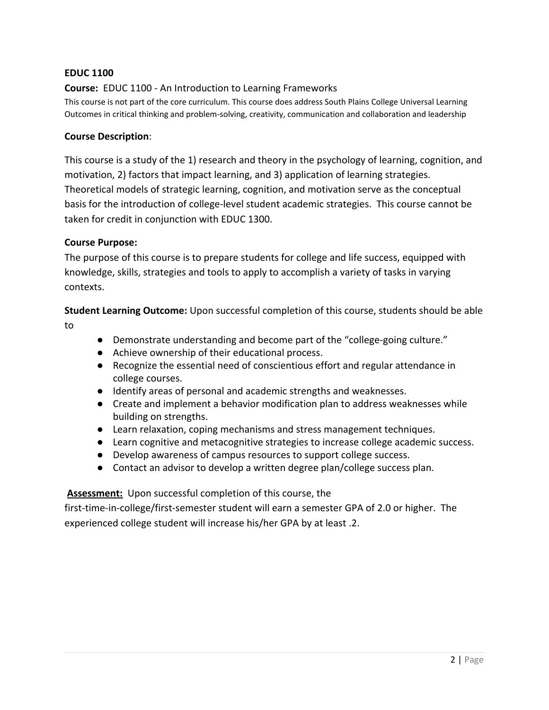### **EDUC 1100**

## **Course:** EDUC 1100 - An Introduction to Learning Frameworks

This course is not part of the core curriculum. This course does address South Plains College Universal Learning Outcomes in critical thinking and problem-solving, creativity, communication and collaboration and leadership

#### **Course Description**:

This course is a study of the 1) research and theory in the psychology of learning, cognition, and motivation, 2) factors that impact learning, and 3) application of learning strategies. Theoretical models of strategic learning, cognition, and motivation serve as the conceptual basis for the introduction of college-level student academic strategies. This course cannot be taken for credit in conjunction with EDUC 1300.

#### **Course Purpose:**

The purpose of this course is to prepare students for college and life success, equipped with knowledge, skills, strategies and tools to apply to accomplish a variety of tasks in varying contexts.

**Student Learning Outcome:** Upon successful completion of this course, students should be able to

- Demonstrate understanding and become part of the "college-going culture."
- Achieve ownership of their educational process.
- Recognize the essential need of conscientious effort and regular attendance in college courses.
- Identify areas of personal and academic strengths and weaknesses.
- Create and implement a behavior modification plan to address weaknesses while building on strengths.
- Learn relaxation, coping mechanisms and stress management techniques.
- Learn cognitive and metacognitive strategies to increase college academic success.
- Develop awareness of campus resources to support college success.
- Contact an advisor to develop a written degree plan/college success plan.

#### **Assessment:** Upon successful completion of this course, the

first-time-in-college/first-semester student will earn a semester GPA of 2.0 or higher. The experienced college student will increase his/her GPA by at least .2.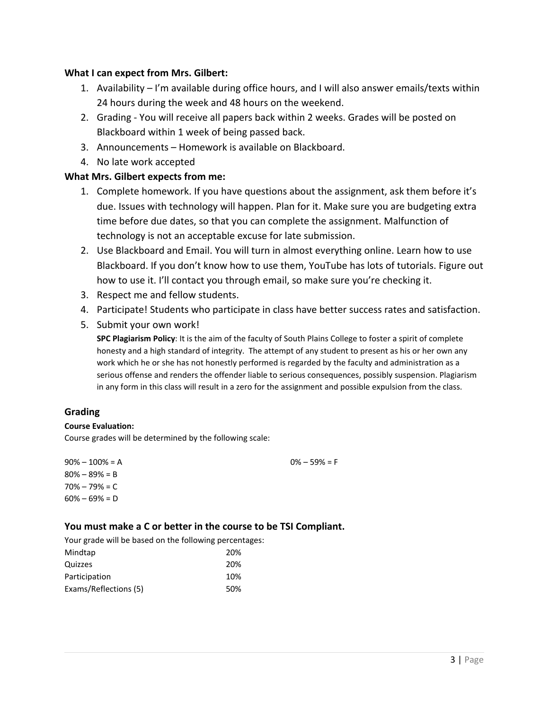### **What I can expect from Mrs. Gilbert:**

- 1. Availability I'm available during office hours, and I will also answer emails/texts within 24 hours during the week and 48 hours on the weekend.
- 2. Grading You will receive all papers back within 2 weeks. Grades will be posted on Blackboard within 1 week of being passed back.
- 3. Announcements Homework is available on Blackboard.
- 4. No late work accepted

### **What Mrs. Gilbert expects from me:**

- 1. Complete homework. If you have questions about the assignment, ask them before it's due. Issues with technology will happen. Plan for it. Make sure you are budgeting extra time before due dates, so that you can complete the assignment. Malfunction of technology is not an acceptable excuse for late submission.
- 2. Use Blackboard and Email. You will turn in almost everything online. Learn how to use Blackboard. If you don't know how to use them, YouTube has lots of tutorials. Figure out how to use it. I'll contact you through email, so make sure you're checking it.
- 3. Respect me and fellow students.
- 4. Participate! Students who participate in class have better success rates and satisfaction.
- 5. Submit your own work!

**SPC Plagiarism Policy**: It is the aim of the faculty of South Plains College to foster a spirit of complete honesty and a high standard of integrity. The attempt of any student to present as his or her own any work which he or she has not honestly performed is regarded by the faculty and administration as a serious offense and renders the offender liable to serious consequences, possibly suspension. Plagiarism in any form in this class will result in a zero for the assignment and possible expulsion from the class.

# **Grading**

#### **Course Evaluation:**

Course grades will be determined by the following scale:

 $90\% - 100\% = A$ 80% – 89% = B  $70\% - 79\% = C$  $60\% - 69\% = D$  $0\% - 59\% = F$ 

#### **You must make a C or better in the course to be TSI Compliant.**

Your grade will be based on the following percentages:

| Mindtap               | 20% |
|-----------------------|-----|
| Quizzes               | 20% |
| Participation         | 10% |
| Exams/Reflections (5) | 50% |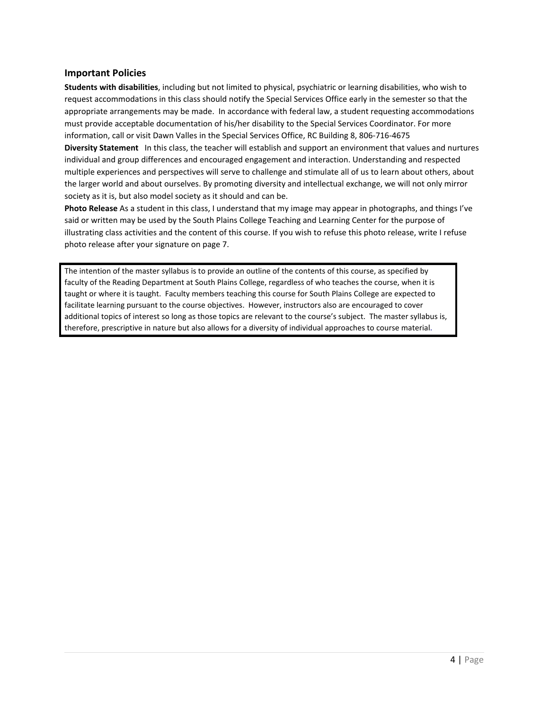#### **Important Policies**

society as it is, but also model society as it should and can be.

**Students with disabilities**, including but not limited to physical, psychiatric or learning disabilities, who wish to request accommodations in this class should notify the Special Services Office early in the semester so that the appropriate arrangements may be made. In accordance with federal law, a student requesting accommodations must provide acceptable documentation of his/her disability to the Special Services Coordinator. For more information, call or visit Dawn Valles in the Special Services Office, RC Building 8, 806-716-4675 **Diversity Statement** In this class, the teacher will establish and support an environment that values and nurtures individual and group differences and encouraged engagement and interaction. Understanding and respected multiple experiences and perspectives will serve to challenge and stimulate all of us to learn about others, about the larger world and about ourselves. By promoting diversity and intellectual exchange, we will not only mirror

**Photo Release** As a student in this class, I understand that my image may appear in photographs, and things I've said or written may be used by the South Plains College Teaching and Learning Center for the purpose of illustrating class activities and the content of this course. If you wish to refuse this photo release, write I refuse photo release after your signature on page 7.

The intention of the master syllabus is to provide an outline of the contents of this course, as specified by faculty of the Reading Department at South Plains College, regardless of who teaches the course, when it is taught or where it is taught. Faculty members teaching this course for South Plains College are expected to facilitate learning pursuant to the course objectives. However, instructors also are encouraged to cover additional topics of interest so long as those topics are relevant to the course's subject. The master syllabus is, therefore, prescriptive in nature but also allows for a diversity of individual approaches to course material.